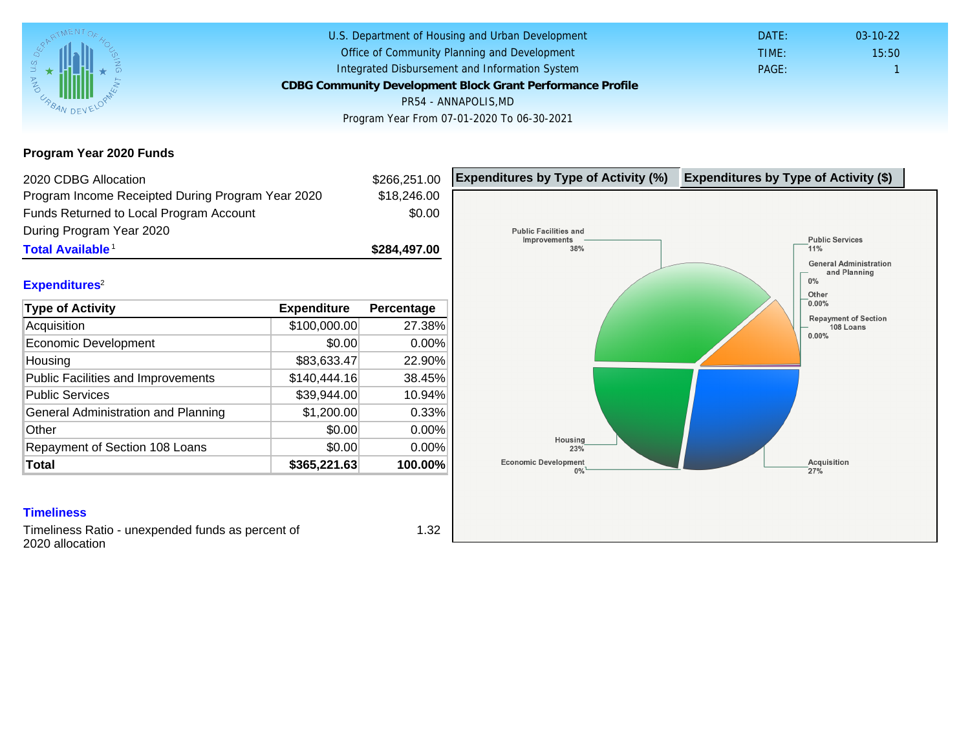### Program Year 2020 Funds

| 2020 CDBG Allocation                              |              | \$266,251.00 | Expenditures by Type of Activity (%) | Expenditure |
|---------------------------------------------------|--------------|--------------|--------------------------------------|-------------|
| Program Income Receipted During Program Year 2020 |              | \$18,246.00  |                                      |             |
| Funds Returned to Local Program Account           |              | \$0.00       |                                      |             |
| During Program Year 2020                          |              |              |                                      |             |
| Total Available <sup>1</sup>                      |              | \$284,497.00 |                                      |             |
| Expenditures <sup>2</sup>                         |              |              |                                      |             |
|                                                   |              |              |                                      |             |
| Type of Activity                                  | Expenditure  | Percentage   |                                      |             |
| Acquisition                                       | \$100,000.00 | 27.38%       |                                      |             |
| Economic Development                              | \$0.00       | 0.00%        |                                      |             |
| Housing                                           | \$83,633.47  | 22.90%       |                                      |             |
| Public Facilities and Improvements                | \$140,444.16 | 38.45%       |                                      |             |
| <b>Public Services</b>                            | \$39,944.00  | 10.94%       |                                      |             |
| General Administration and Planning               | \$1,200.00   | 0.33%        |                                      |             |
| Other                                             | \$0.00       | 0.00%        |                                      |             |
| Repayment of Section 108 Loans                    | \$0.00       | 0.00%        |                                      |             |
| Total                                             | \$365,221.63 | 100.00%      |                                      |             |

#### **Timeliness**

Timeliness Ratio - unexpended funds as percent of 2020 allocation

1.32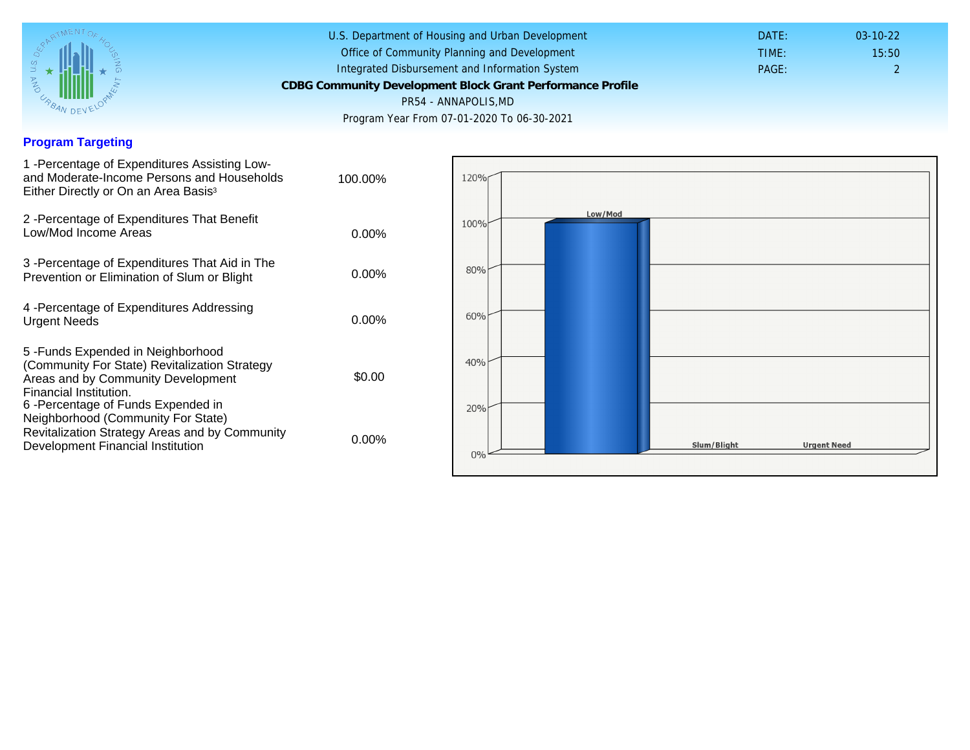## Program Targeting

| 1 - Percentage of Expenditures Assisting Low-<br>and Moderate-Income Persons and Households<br>Either Directly or On an Area Basis <sup>3</sup>                                                                              | 100.00%  |  |
|------------------------------------------------------------------------------------------------------------------------------------------------------------------------------------------------------------------------------|----------|--|
| 2 - Percentage of Expenditures That Benefit<br>Low/Mod Income Areas                                                                                                                                                          | $0.00\%$ |  |
| 3 -Percentage of Expenditures That Aid in The<br>Prevention or Elimination of Slum or Blight                                                                                                                                 | $0.00\%$ |  |
| 4 - Percentage of Expenditures Addressing<br><b>Urgent Needs</b>                                                                                                                                                             | $0.00\%$ |  |
| 5-Funds Expended in Neighborhood<br>(Community For State) Revitalization Strategy<br>Areas and by Community Development<br>Financial Institution.<br>6-Percentage of Funds Expended in<br>Neighborhood (Community For State) | \$0.00   |  |
| Revitalization Strategy Areas and by Community<br>Development Financial Institution                                                                                                                                          | $0.00\%$ |  |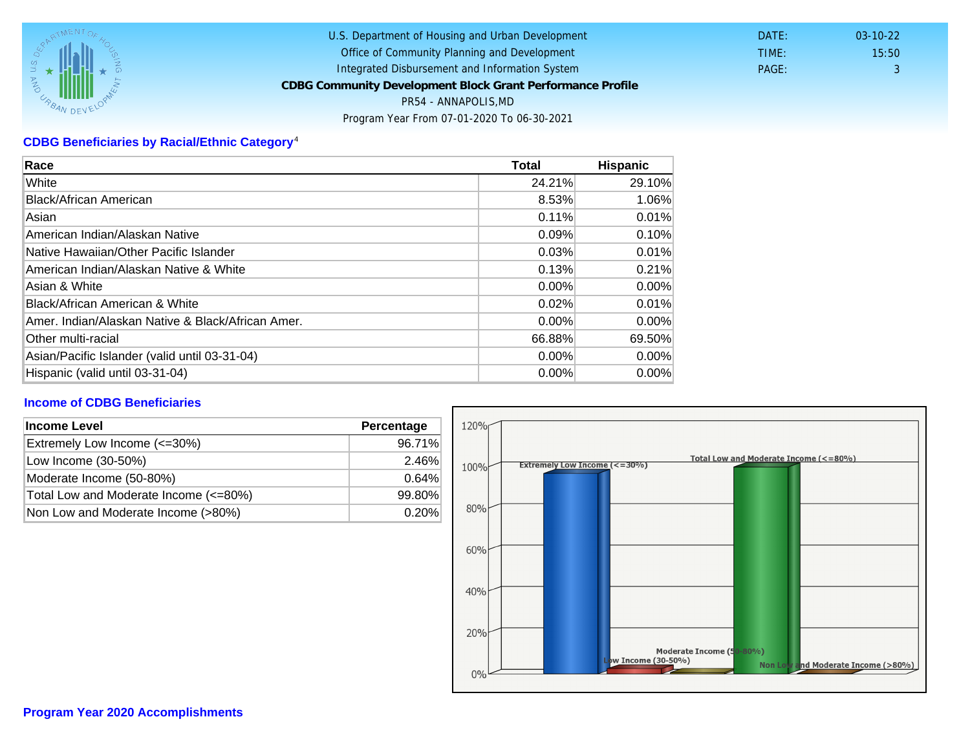# CDBG Beneficiaries by Racial/Ethnic Category <sup>4</sup>

| Race                                              | Total    | Hispanic |
|---------------------------------------------------|----------|----------|
| White                                             | 24.21%   | 29.10%   |
| Black/African American                            | 8.53%    | 1.06%    |
| Asian                                             | 0.11%    | 0.01%    |
| American Indian/Alaskan Native                    | 0.09%    | 0.10%    |
| lNative Hawaiian/Other Pacific Islander           | 0.03%    | 0.01%    |
| American Indian/Alaskan Native & White            | 0.13%    | 0.21%    |
| Asian & White                                     | 0.00%    | 0.00%    |
| Black/African American & White                    | 0.02%    | 0.01%    |
| Amer. Indian/Alaskan Native & Black/African Amer. | $0.00\%$ | $0.00\%$ |
| <b>Other multi-racial</b>                         | 66.88%   | 69.50%   |
| Asian/Pacific Islander (valid until 03-31-04)     | 0.00%    | $0.00\%$ |
| Hispanic (valid until 03-31-04)                   | $0.00\%$ | 0.00%    |

### Income of CDBG Beneficiaries

| Income Level                          | Percentage |  |
|---------------------------------------|------------|--|
| Extremely Low Income (<=30%)          | 96.71%     |  |
| Low Income (30-50%)                   | 2.46%      |  |
| Moderate Income (50-80%)              | 0.64%      |  |
| Total Low and Moderate Income (<=80%) | 99.80%     |  |
| Non Low and Moderate Income (>80%)    | 0.20%      |  |